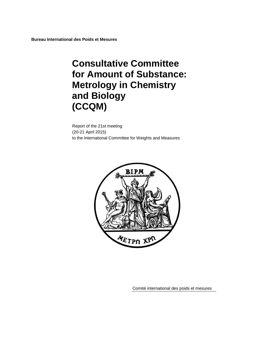**Bureau International des Poids et Mesures**

# **Consultative Committee for Amount of Substance: Metrology in Chemistry and Biology (CCQM)**

Report of the 21st meeting (20-21 April 2015) to the International Committee for Weights and Measures



Comité international des poids et mesures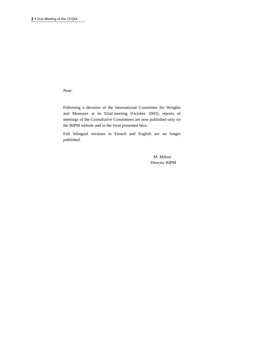Note:

Following a decision of the International Committee for Weights and Measures at its 92nd meeting (October 2003), reports of meetings of the Consultative Committees are now published only on the BIPM website and in the form presented here.

Full bilingual versions in French and English are no longer published.

> M. Milton Director BIPM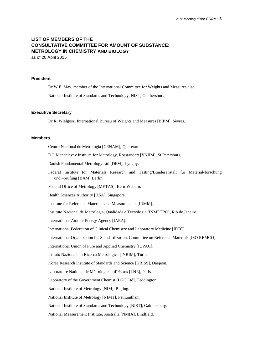# **LIST OF MEMBERS OF THE CONSULTATIVE COMMITTEE FOR AMOUNT OF SUBSTANCE: METROLOGY IN CHEMISTRY AND BIOLOGY** as of 20 April 2015

**President**

Dr W.E. May, member of the International Committee for Weights and Measures also National Institute of Standards and Technology, NIST, Gaithersburg

#### **Executive Secretary**

Dr R. Wielgosz, International Bureau of Weights and Measures [BIPM], Sèvres.

#### **Members**

Centro Nacional de Metrología [CENAM], Querétaro.

D.I. Mendeleyev Institute for Metrology, Rosstandart [VNIIM], St Petersburg.

Danish Fundamental Metrology Ltd [DFM], Lyngby.

Federal Institute for Materials Research and Testing/Bundesanstalt für Material-forschung und –prüfung [BAM] Berlin.

Federal Office of Metrology [METAS], Bern-Wabern.

Health Sciences Authority [HSA], Singapore.

Institute for Reference Materials and Measurements [IRMM].

Instituto Nacional de Metrologia, Qualidade e Tecnologia [INMETRO], Rio de Janeiro.

International Atomic Energy Agency [IAEA].

International Federation of Clinical Chemistry and Laboratory Medicine [IFCC].

International Organization for Standardization, Committee on Reference Materials [ISO REMCO].

International Union of Pure and Applied Chemistry [IUPAC].

Istituto Nazionale di Ricerca Metrologica [INRIM], Turin.

Korea Research Institute of Standards and Science [KRISS], Daejeon.

Laboratoire National de Métrologie et d'Essais [LNE], Paris.

Laboratory of the Government Chemist [LGC Ltd], Teddington.

National Institute of Metrology [NIM], Beijing.

National Institute of Metrology [NIMT], Pathumthani

National Institute of Standards and Technology [NIST], Gaithersburg.

National Measurement Institute, Australia [NMIA], Lindfield.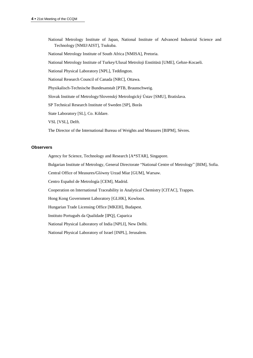National Metrology Institute of Japan, National Institute of Advanced Industrial Science and Technology [NMIJ/AIST], Tsukuba.

National Metrology Institute of South Africa [NMISA], Pretoria.

National Metrology Institute of Turkey/Ulusal Metroloji Enstitüsü [UME], Gebze-Kocaeli.

National Physical Laboratory [NPL], Teddington.

National Research Council of Canada [NRC], Ottawa.

Physikalisch-Technische Bundesanstalt [PTB, Braunschweig.

Slovak Institute of Metrology/Slovenský Metrologický Ústav [SMU], Bratislava.

SP Technical Research Institute of Sweden [SP], Borås

State Laboratory [SL], Co. Kildare.

VSL [VSL], Delft.

The Director of the International Bureau of Weights and Measures [BIPM], Sèvres.

# **Observers**

Agency for Science, Technology and Research [A\*STAR], Singapore.

Bulgarian Institute of Metrology, General Directorate "National Centre of Metrology" [BIM], Sofia.

Central Office of Measures/Glόwny Urzad Miar [GUM], Warsaw.

Centro Español de Metrología [CEM], Madrid.

Cooperation on International Traceability in Analytical Chemistry [CITAC], Trappes.

Hong Kong Government Laboratory [GLHK], Kowloon.

Hungarian Trade Licensing Office [MKEH], Budapest.

Instituto Português da Qualidade [IPQ], Caparica

National Physical Laboratory of India [NPLI], New Delhi.

National Physical Laboratory of Israel [INPL], Jerusalem.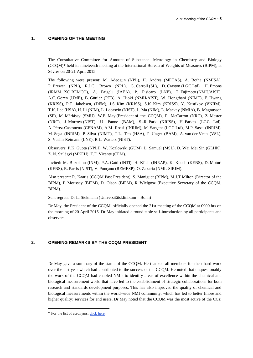#### **1. OPENING OF THE MEETING**

The Consultative Committee for Amount of Substance: Metrology in Chemistry and Biology (CCQM)\* held its nineteenth meeting at the International Bureau of Weights of Measures (BIPM), at Sèvres on 20-21 April 2015.

The following were present: M. Adeogun (NPL), H. Andres (METAS), A. Botha (NMISA), P. Brewer (NPL), R.J.C. Brown (NPL), G. Carroll (SL), D. Craston (LGC Ltd), H. Emons (IRMM, ISO REMCO), A. Fajgelj (IAEA), P. Fisicaro (LNE), T. Fujimoto (NMIJ/AIST), A.C. Gören (UME), B. Güttler (PTB), A. Hioki (NMIJ/AIST), W. Hongthani (NIMT), E. Hwang (KRISS), P.T. Jakobsen, (DFM), J.S. Kim (KRISS), S.K Kim (KRISS), Y. Kustikov (VNIIM), T.K. Lee (HSA), H. Li (NIM), L. Locascio (NIST), L. Ma (NIM), L. Mackay (NMIA), B. Magnusson (SP), M. Máriássy (SMU), W.E. May (President of the CCQM), P. McCarron (NRC), Z. Mester (NRC), J. Morrow (NIST), U. Panne (BAM), S.-R. Park (KRISS), H. Parkes (LGC Ltd), A. Pérez-Castonena (CENAM), A.M. Rossi (INRIM), M. Sargent (LGC Ltd), M.P. Sassi (INRIM), M. Sega (INRIM), P. Silva (NIMT), T.L. Teo (HSA), P. Unger (BAM), A. van der Veen (VSL), S. Vaslin-Reimann (LNE), R.L. Watters (NIST).

Observers: P.K. Gupta (NPLI), W. Kozlowski (GUM), L. Samuel (MSL), D. Wai Mei Sin (GLHK), Z. N. Szilágyi (MKEH), T.F. Vicente (CEM).

Invited: M. Buzoianu (INM), P.A. Gatti (INTI), H. Klich (INRAP), K. Koech (KEBS), D. Moturi (KEBS), R. Parris (NIST), V. Ponçano (REMESP), O. Zakaria (NML-SIRIM).

Also present: R. Kaarls (CCQM Past President), S. Maniguet (BIPM), M.J.T Milton (Director of the BIPM), P. Moussay (BIPM), D. Olson (BIPM), R. Wielgosz (Executive Secretary of the CCQM, BIPM).

Sent regrets: Dr L. Siekmann (Universitätsklinikum – Bonn)

Dr May, the President of the CCQM, officially opened the 21st meeting of the CCQM at 0900 hrs on the morning of 20 April 2015. Dr May initiated a round table self-introduction by all participants and observers.

#### **2. OPENING REMARKS BY THE CCQM PRESIDENT**

Dr May gave a summary of the status of the CCQM. He thanked all members for their hard work over the last year which had contributed to the success of the CCQM. He noted that unquestionably the work of the CCQM had enabled NMIs to identify areas of excellence within the chemical and biological measurement world that have led to the establishment of strategic collaborations for both research and standards development purposes. This has also improved the quality of chemical and biological measurements within the world-wide NMI community, which has led to better (more and higher quality) services for end users. Dr May noted that the CCQM was the most active of the CCs;

 $\overline{a}$ 

<sup>\*</sup> For the list of acronyms, [click here.](https://www.bipm.org/en/practical_info/acronyms.html)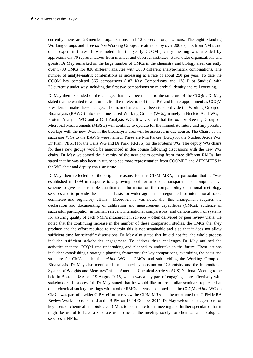currently there are 28 member organizations and 12 observer organizations. The eight Standing Working Groups and three *ad hoc* Working Groups are attended by over 200 experts from NMIs and other expert institutes. It was noted that the yearly CCQM plenary meeting was attended by approximately 70 representatives from member and observer institutes, stakeholder organizations and guests. Dr May remarked on the large number of CMCs in the chemistry and biology area: currently over 5700 CMCs for 830 different analytes with 3050 different analyte‐matrix combinations. The number of analyte-matrix combinations is increasing at a rate of about 250 per year. To date the CCQM has completed 365 comparisons (187 Key Comparisons and 178 Pilot Studies) with 25 currently under way including the first two comparisons on microbial identity and cell counting.

Dr May then expanded on the changes that have been made to the structure of the CCQM. Dr May stated that he wanted to wait until after the re-election of the CIPM and his re-appointment as CCQM President to make these changes. The main changes have been to sub-divide the Working Group on Bioanalysis (BAWG) into discipline-based Working Groups (WGs), namely: a Nucleic Acid WG, a Protein Analysis WG and a Cell Analysis WG. It was stated that the *ad hoc* Steering Group on Microbial Measurements (MBSG) will continue to operate for the immediate future and any possible overlaps with the new WGs in the bioanalysis area will be assessed in due course. The Chairs of the successor WGs to the BAWG were named. These are Mrs Parkes (LGC) for the Nucleic Acids WG, Dr Plant (NIST) for the Cells WG and Dr Park (KRISS) for the Proteins WG. The deputy WG chairs for these new groups would be announced in due course following discussions with the new WG chairs. Dr May welcomed the diversity of the new chairs coming from three different RMOs, but stated that he was also keen in future to see more representation from COOMET and AFRIMETS in the WG chair and deputy chair structure.

Dr May then reflected on the original reasons for the CIPM MRA, in particular that it "was established in 1999 in response to a growing need for an open, transparent and comprehensive scheme to give users reliable quantitative information on the comparability of national metrology services and to provide the technical basis for wider agreements negotiated for international trade, commerce and regulatory affairs." Moreover, it was noted that this arrangement requires the declaration and documenting of calibration and measurement capabilities (CMCs), evidence of successful participation in formal, relevant international comparisons, and demonstration of systems for assuring quality of each NMI's measurement services – often delivered by peer review visits. He noted that the continuing increase in the number of these comparison studies, the CMCs that they produce and the effort required to underpin this is not sustainable and also that it does not allow sufficient time for scientific discussions. Dr May also stated that he did not feel the whole process included sufficient stakeholder engagement. To address these challenges Dr May outlined the activities that the CCQM was undertaking and planned to undertake in the future. These actions included: establishing a strategic planning framework for key comparisons, examining the basis and structure for CMCs under the *ad hoc* WG on CMCs, and sub-dividing the Working Group on Bioanalysis. Dr May also mentioned the planned symposium on "Chemistry and the International System of Weights and Measures" at the American Chemical Society (ACS) National Meeting to be held in Boston, USA, on 19 August 2015, which was a key part of engaging more effectively with stakeholders. If successful, Dr May stated that he would like to see similar seminars replicated at other chemical society meetings within other RMOs. It was also noted that the CCQM *ad hoc* WG on CMCs was part of a wider CIPM effort to review the CIPM MRA and he mentioned the CIPM MRA Review Workshop to be held at the BIPM on 13-14 October 2015. Dr May welcomed suggestions for key users of chemical and biological CMCs to contribute to the meeting and further speculated that it might be useful to have a separate user panel at the meeting solely for chemical and biological services at NMIs.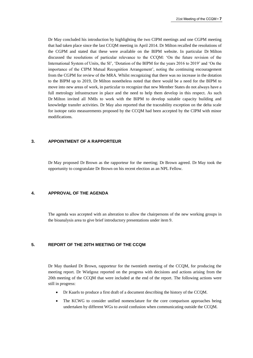Dr May concluded his introduction by highlighting the two CIPM meetings and one CGPM meeting that had taken place since the last CCQM meeting in April 2014. Dr Milton recalled the resolutions of the CGPM and stated that these were available on the BIPM website. In particular Dr Milton discussed the resolutions of particular relevance to the CCQM: 'On the future revision of the International System of Units, the SI', 'Dotation of the BIPM for the years 2016 to 2019' and 'On the importance of the CIPM Mutual Recognition Arrangement', noting the continuing encouragement from the CGPM for review of the MRA. Whilst recognizing that there was no increase in the dotation to the BIPM up to 2019, Dr Milton nonetheless noted that there would be a need for the BIPM to move into new areas of work, in particular to recognize that new Member States do not always have a full metrology infrastructure in place and the need to help them develop in this respect. As such Dr Milton invited all NMIs to work with the BIPM to develop suitable capacity building and knowledge transfer activities. Dr May also reported that the traceability exception on the delta scale for isotope ratio measurements proposed by the CCQM had been accepted by the CIPM with minor modifications.

## **3. APPOINTMENT OF A RAPPORTEUR**

Dr May proposed Dr Brown as the rapporteur for the meeting; Dr Brown agreed. Dr May took the opportunity to congratulate Dr Brown on his recent election as an NPL Fellow.

# **4. APPROVAL OF THE AGENDA**

The agenda was accepted with an alteration to allow the chairpersons of the new working groups in the bioanalysis area to give brief introductory presentations under item 9.

# **5. REPORT OF THE 20TH MEETING OF THE CCQM**

Dr May thanked Dr Brown, rapporteur for the twentieth meeting of the CCQM, for producing the meeting report. Dr Wielgosz reported on the progress with decisions and actions arising from the 20th meeting of the CCQM that were included at the end of the report. The following actions were still in progress:

- Dr Kaarls to produce a first draft of a document describing the history of the CCQM.
- The KCWG to consider unified nomenclature for the core comparison approaches being undertaken by different WGs to avoid confusion when communicating outside the CCQM.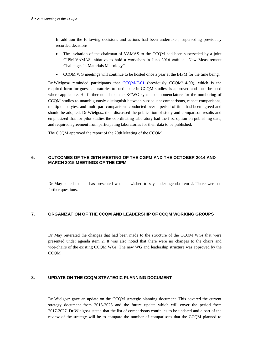In addition the following decisions and actions had been undertaken, superseding previously recorded decisions:

- The invitation of the chairman of VAMAS to the CCQM had been superseded by a joint CIPM-VAMAS initiative to hold a workshop in June 2016 entitled "New Measurement Challenges in Materials Metrology".
- CCQM WG meetings will continue to be hosted once a year at the BIPM for the time being.

Dr Wielgosz reminded participants that  $CCQM-F-01$  (previously  $CCQM/14-09$ ), which is the required form for guest laboratories to participate in CCQM studies, is approved and must be used where applicable. He further noted that the KCWG system of nomenclature for the numbering of CCQM studies to unambiguously distinguish between subsequent comparisons, repeat comparisons, multiple-analytes, and multi-part comparisons conducted over a period of time had been agreed and should be adopted. Dr Wielgosz then discussed the publication of study and comparison results and emphasized that for pilot studies the coordinating laboratory had the first option on publishing data, and required agreement from participating laboratories for their data to be published.

The CCQM approved the report of the 20th Meeting of the CCQM.

## **6. OUTCOMES OF THE 25TH MEETING OF THE CGPM AND THE OCTOBER 2014 AND MARCH 2015 MEETINGS OF THE CIPM**

Dr May stated that he has presented what he wished to say under agenda item 2. There were no further questions.

# **7. ORGANIZATION OF THE CCQM AND LEADERSHIP OF CCQM WORKING GROUPS**

Dr May reiterated the changes that had been made to the structure of the CCQM WGs that were presented under agenda item 2. It was also noted that there were no changes to the chairs and vice-chairs of the existing CCQM WGs. The new WG and leadership structure was approved by the CCQM.

# **8. UPDATE ON THE CCQM STRATEGIC PLANNING DOCUMENT**

Dr Wielgosz gave an update on the CCQM strategic planning document. This covered the current strategy document from 2013-2023 and the future update which will cover the period from 2017-2027. Dr Wielgosz stated that the list of comparisons continues to be updated and a part of the review of the strategy will be to compare the number of comparisons that the CCQM planned to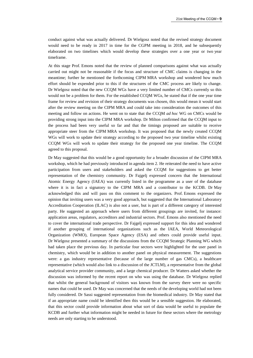conduct against what was actually delivered. Dr Wielgosz noted that the revised strategy document would need to be ready in 2017 in time for the CGPM meeting in 2018, and he subsequently elaborated on two timelines which would develop these strategies over a one year or two year timeframe.

At this stage Prof. Emons noted that the review of planned comparisons against what was actually carried out might not be reasonable if the focus and structure of CMC claims is changing in the meantime; further he mentioned the forthcoming CIPM MRA workshop and wondered how much effort should be expended prior to this if the structures of the CMC process are likely to change. Dr Wielgosz noted that the new CCQM WGs have a very limited number of CMCs currently so this would not be a problem for them. For the established CCQM WGs, he stated that if the one year time frame for review and revision of their strategy documents was chosen, this would mean it would start after the review meeting on the CIPM MRA and could take into consideration the outcomes of this meeting and follow on actions. He went on to state that the CCQM *ad hoc* WG on CMCs would be providing strong input into the CIPM MRA workshop. Dr Milton confirmed that the CCQM input to the process had been very useful so far and that the timings proposed are suitable to receive appropriate steer from the CIPM MRA workshop. It was proposed that the newly created CCQM WGs will work to update their strategy according to the proposed two year timeline whilst existing CCQM WGs will work to update their strategy for the proposed one year timeline. The CCQM agreed to this proposal.

Dr May suggested that this would be a good opportunity for a broader discussion of the CIPM MRA workshop, which he had previously introduced in agenda item 2. He reiterated the need to have active participation from users and stakeholders and asked the CCQM for suggestions to get better representation of the chemistry community. Dr Fajgelj expressed concern that the International Atomic Energy Agency (IAEA) was currently listed in the programme as a user of the database where it is in fact a signatory to the CIPM MRA and a contributor to the KCDB. Dr May acknowledged this and will pass on this comment to the organizers. Prof. Emons expressed the opinion that inviting users was a very good approach, but suggested that the International Laboratory Accreditation Cooperation (ILAC) is also not a user, but is part of a different category of interested party. He suggested an approach where users from different groupings are invited, for instance: application areas, regulators, accreditors and industrial sectors. Prof. Emons also mentioned the need to cover the international trade perspective. Dr Fajgelj expressed support for this idea and wondered if another grouping of international organizations such as the IAEA, World Meteorological Organization (WMO), European Space Agency (ESA) and others could provide useful input. Dr Wielgosz presented a summary of the discussions from the CCQM Strategic Planning WG which had taken place the previous day. In particular four sectors were highlighted for the user panel in chemistry, which would be in addition to another panel on physical measurement. The suggestions were: a gas industry representative (because of the large number of gas CMCs), a healthcare representative (which would also link to a discussion of the JCTLM), a representative from the global analytical service provider community, and a large chemical producer. Dr Watters asked whether the discussion was informed by the recent report on who was using the database. Dr Wielgosz replied that whilst the general background of visitors was known from the survey there were no specific names that could be used. Dr May was concerned that the needs of the developing world had not been fully considered. Dr Sassi suggested representation from the biomedical industry. Dr May stated that if an appropriate name could be identified then this would be a sensible suggestion. He elaborated, that this sector could provide information about what sort of data would be useful to populate the KCDB and further what information might be needed in future for these sectors where the metrology needs are only starting to be understood.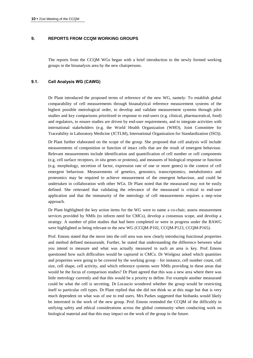## **9. REPORTS FROM CCQM WORKING GROUPS**

The reports from the CCQM WGs began with a brief introduction to the newly formed working groups in the bioanalysis area by the new chairpersons.

# **9.1. Cell Analysis WG (CAWG)**

Dr Plant introduced the proposed terms of reference of the new WG, namely: To establish global comparability of cell measurements through bioanalytical reference measurement systems of the highest possible metrological order, to develop and validate measurement systems through pilot studies and key comparisons prioritized in response to end-users (e.g. clinical, pharmaceutical, food) and regulators, to ensure studies are driven by end-user requirements, and to integrate activities with international stakeholders (e.g. the World Health Organization (WHO), Joint Committee for Traceability in Laboratory Medicine (JCTLM), International Organization for Standardization (ISO)).

Dr Plant further elaborated on the scope of the group. She proposed that cell analysis will include measurements of composition or function of intact cells that are the result of emergent behaviour. Relevant measurements include identification and quantification of cell number or cell components (e.g. cell surface receptors, *in situ* genes or proteins), and measures of biological response or function (e.g. morphology, secretion of factor, expression rate of one or more genes) in the context of cell emergent behaviour. Measurements of genetics, genomics, transcriptomics, metabolomics and proteomics may be required to achieve measurement of the emergent behaviour, and could be undertaken in collaboration with other WGs. Dr Plant noted that the measurand may not be easily defined. She reiterated that validating the relevance of the measurand is critical to end-user application and that the immaturity of the metrology of cell measurements requires a step-wise approach.

Dr Plant highlighted the key action items for the WG were to name a co-chair, assess measurement services provided by NMIs (to inform need for CMCs), develop a consensus scope, and develop a strategy. A number of pilot studies that had been completed or were in progress under the BAWG were highlighted as being relevant to the new WG (CCQM-P102, CCQM-P123, CCQM-P165).

Prof. Emons stated that the move into the cell area was now clearly introducing functional properties and method defined measurands. Further, he stated that understanding the difference between what you intend to measure and what was actually measured in such an area is key. Prof. Emons questioned how such difficulties would be captured in CMCs. Dr Wielgosz asked which quantities and properties were going to be covered by the working group – for instance, cell number count, cell size, cell shape, cell activity, and which reference systems were NMIs providing in these areas that would be the focus of comparison studies? Dr Plant agreed that this was a new area where there was little metrology currently and that this would be a priority to define. For example another measurand could be what the cell is secreting. Dr Locascio wondered whether the group would be restricting itself to particular cell types. Dr Plant replied that she did not think so at this stage but that is very much dependent on what was of use to end users. Mrs Parkes suggested that biobanks would likely be interested in the work of the new group. Prof. Emons reminded the CCQM of the difficultly in unifying safety and ethical considerations across the global community when conducting work on biological material and that this may impact on the work of the group in the future.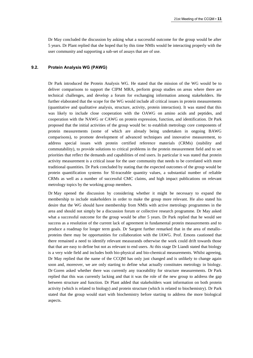Dr May concluded the discussion by asking what a successful outcome for the group would be after 5 years. Dr Plant replied that she hoped that by this time NMIs would be interacting properly with the user community and supporting a sub-set of assays that are of use.

# **9.2. Protein Analysis WG (PAWG)**

Dr Park introduced the Protein Analysis WG. He stated that the mission of the WG would be to deliver comparisons to support the CIPM MRA, perform group studies on areas where there are technical challenges, and develop a forum for exchanging information among stakeholders. He further elaborated that the scope for the WG would include all critical issues in protein measurements (quantitative and qualitative analysis, structure, activity, protein interaction). It was stated that this was likely to include close cooperation with the OAWG on amino acids and peptides, and cooperation with the NAWG or CAWG on protein expression, function, and identification. Dr Park proposed that the initial activities of the group would be: to establish metrology core components of protein measurements (some of which are already being undertaken in ongoing BAWG comparisons), to promote development of advanced techniques and innovative measurement, to address special issues with protein certified reference materials (CRMs) (stability and commutability), to provide solutions to critical problems in the protein measurement field and to set priorities that reflect the demands and capabilities of end users. In particular it was stated that protein activity measurement is a critical issue for the user community that needs to be correlated with more traditional quantities. Dr Park concluded by stating that the expected outcomes of the group would be protein quantification systems for SI-traceable quantity values, a substantial number of reliable CRMs as well as a number of successful CMC claims, and high impact publications on relevant metrology topics by the working group members.

Dr May opened the discussion by considering whether it might be necessary to expand the membership to include stakeholders in order to make the group more relevant. He also stated his desire that the WG should have membership from NMIs with active metrology programmes in the area and should not simply be a discussion forum or collective research programme. Dr May asked what a successful outcome for the group would be after 5 years. Dr Park replied that he would see success as a resolution of the current lack of agreement in fundamental protein measurements and to produce a roadmap for longer term goals. Dr Sargent further remarked that in the area of metalloproteins there may be opportunities for collaboration with the IAWG. Prof. Emons cautioned that there remained a need to identify relevant measurands otherwise the work could drift towards those that that are easy to define but not as relevant to end users. At this stage Dr Liandi stated that biology is a very wide field and includes both bio-physical and bio-chemical measurements. Whilst agreeing, Dr May replied that the name of the CCQM has only just changed and is unlikely to change again soon and, moreover, we are only starting to define what actually constitutes metrology in biology. Dr Goren asked whether there was currently any traceability for structure measurements. Dr Park replied that this was currently lacking and that it was the role of the new group to address the gap between structure and function. Dr Plant added that stakeholders want information on both protein activity (which is related to biology) and protein structure (which is related to biochemistry). Dr Park stated that the group would start with biochemistry before starting to address the more biological aspects.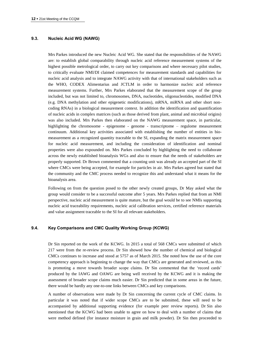#### **9.3. Nucleic Acid WG (NAWG)**

Mrs Parkes introduced the new Nucleic Acid WG. She stated that the responsibilities of the NAWG are: to establish global comparability through nucleic acid reference measurement systems of the highest possible metrological order, to carry out key comparisons and where necessary pilot studies, to critically evaluate NMI/DI claimed competences for measurement standards and capabilities for nucleic acid analysis and to integrate NAWG activity with that of international stakeholders such as the WHO, CODEX Alimentarius and JCTLM in order to harmonize nucleic acid reference measurement systems. Further, Mrs Parkes elaborated that the measurement scope of the group included, but was not limited to, chromosomes, DNA, nucleotides, oligonucleotides, modified DNA (e.g. DNA methylation and other epigenetic modifications), mRNA, miRNA and other short noncoding RNAs) in a biological measurement context. In addition the identification and quantification of nucleic acids in complex matrices (such as those derived from plant, animal and microbial origins) was also included. Mrs Parkes then elaborated on the NAWG measurement space, in particular, highlighting the chromosome - epigenome - genome - transcriptome – regulome measurement continuum. Additional key activities associated with establishing the number of entities in biomeasurement as a recognized quantity traceable to the SI, expanding the matrix measurement space for nucleic acid measurement, and including the consideration of identification and nominal properties were also expounded on. Mrs Parkes concluded by highlighting the need to collaborate across the newly established bioanalysis WGs and also to ensure that the needs of stakeholders are properly supported. Dr Brown commented that a counting unit was already an accepted part of the SI where CMCs were being accepted, for example for particles in air. Mrs Parkes agreed but stated that the community and the CMC process needed to recognize this and understand what it means for the bioanalysis area.

Following on from the question posed to the other newly created groups, Dr May asked what the group would consider to be a successful outcome after 5 years. Mrs Parkes replied that from an NMI perspective, nucleic acid measurement is quite mature, but the goal would be to see NMIs supporting nucleic acid traceability requirements, nucleic acid calibration services, certified reference materials and value assignment traceable to the SI for all relevant stakeholders.

#### **9.4. Key Comparisons and CMC Quality Working Group (KCWG)**

Dr Sin reported on the work of the KCWG. In 2015 a total of 568 CMCs were submitted of which 217 were from the re-review process. Dr Sin showed how the number of chemical and biological CMCs continues to increase and stood at 5757 as of March 2015. She noted how the use of the core competency approach is beginning to change the way that CMCs are generated and reviewed, as this is promoting a move towards broader scope claims. Dr Sin commented that the 'record cards' produced by the IAWG and OAWG are being well received by the KCWG and it is making the assessment of broader scope claims much easier. Dr Sin predicted that in some areas in the future, there would be hardly any one-to-one links between CMCs and key comparisons.

A number of observations were made by Dr Sin concerning the current cycle of CMC claims. In particular it was noted that if wider scope CMCs are to be submitted, these will need to be accompanied by additional supporting evidence (for example peer review reports). Dr Sin also mentioned that the KCWG had been unable to agree on how to deal with a number of claims that were method defined (for instance moisture in grain and milk powder). Dr Sin then proceeded to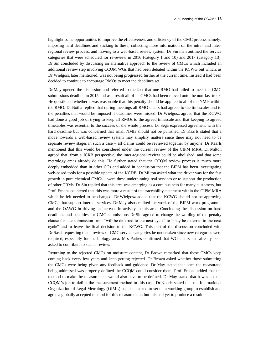highlight some opportunities to improve the effectiveness and efficiency of the CMC process namely: imposing hard deadlines and sticking to these, collecting more information on the intra- and interregional review process, and moving to a web-based review system. Dr Sin then outlined the service categories that were scheduled for re-review in 2016 (category 1 and 10) and 2017 (category 13). Dr Sin concluded by discussing an alternative approach to the review of CMCs which included an additional review step involving CCQM WGs that had been debated within the KCWG but which, as Dr Wielgosz later mentioned, was not being progressed further at the current time. Instead it had been decided to continue to encourage RMOs to meet the deadlines set.

Dr May opened the discussion and referred to the fact that one RMO had failed to meet the CMC submissions deadline in 2015 and as a result all of its CMCs had been moved onto the non-fast track. He questioned whether it was reasonable that this penalty should be applied to all of the NMIs within the RMO. Dr Botha replied that during meetings all RMO chairs had agreed to the timescales and to the penalties that would be imposed if deadlines were missed. Dr Wielgosz agreed that the KCWG had done a good job of trying to keep all RMOs to the agreed timescale and that keeping to agreed timetables was essential to the success of the whole process. Dr Sega expressed agreement with the hard deadline but was concerned that small NMIs should not be punished. Dr Kaarls stated that a move towards a web-based review system may simplify matters since there may not need to be separate review stages in such a case – all claims could be reviewed together by anyone. Dr Kaarls mentioned that this would be considered under the current review of the CIPM MRA. Dr Milton agreed that, from a JCRB perspective, the inter-regional review could be abolished, and that some metrology areas already do this. He further stated that the CCQM review process is much more deeply embedded than in other CCs and added in conclusion that the BIPM has been investigating web-based tools for a possible update of the KCDB. Dr Milton asked what the driver was for the fast growth in pure chemical CMCs – were these underpinning real services or to support the production of other CRMs. Dr Sin replied that this area was emerging as a core business for many customers, but Prof. Emons countered that this was more a result of the traceability statement within the CIPM MRA which he felt needed to be changed. Dr Wielgosz added that the KCWG should not be approving CMCs that support internal services. Dr May also credited the work of the BIPM work programme and the OAWG in driving an increase in activity in this area. Concluding the discussion on hard deadlines and penalties for CMC submissions Dr Sin agreed to change the wording of the penalty clause for late submission from "will be deferred to the next cycle" to "may be deferred to the next cycle" and to leave the final decision to the KCWG. This part of the discussion concluded with Dr Sassi requesting that a review of CMC service categories be undertaken since new categories were required, especially for the biology area. Mrs Parkes confirmed that WG chairs had already been asked to contribute to such a review.

Returning to the rejected CMCs on moisture content, Dr Brown remarked that these CMCs keep coming back every few years and keep getting rejected. Dr Brown asked whether those submitting the CMCs were being given any feedback and guidance. Dr May stated that once the measurand being addressed was properly defined the CCQM could consider them. Prof. Emons added that the method to make the measurement would also have to be defined. Dr May stated that it was not the CCQM's job to define the measurement method in this case. Dr Kaarls stated that the International Organization of Legal Metrology (OIML) has been asked to set up a working group to establish and agree a globally accepted method for this measurement, but this had yet to produce a result.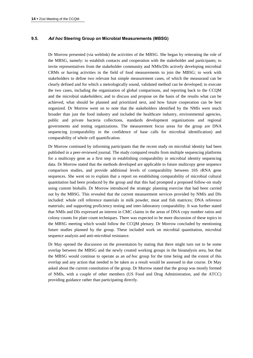# **9.5. Ad hoc Steering Group on Microbial Measurements (MBSG)**

Dr Morrow presented (via weblink) the activities of the MBSG. She began by reiterating the role of the MBSG, namely: to establish contacts and cooperation with the stakeholder and participants; to invite representatives from the stakeholder community and NMIs/DIs actively developing microbial CRMs or having activities in the field of food measurements to join the MBSG; to work with stakeholders to define two relevant but simple measurement cases, of which the measurand can be clearly defined and for which a metrologically sound, validated method can be developed; to execute the two cases, including the organization of global comparisons, and reporting back to the CCQM and the microbial stakeholders; and to discuss and propose on the basis of the results what can be achieved, what should be planned and prioritized next, and how future cooperation can be best organized. Dr Morrow went on to note that the stakeholders identified by the NMIs were much broader than just the food industry and included the healthcare industry, environmental agencies, public and private bacteria collections, standards development organizations and regional governments and testing organizations. The measurement focus areas for the group are DNA sequencing (comparability in the confidence of base calls for microbial identification) and comparability of whole cell quantification.

Dr Morrow continued by informing participants that the recent study on microbial identity had been published in a peer-reviewed journal. The study compared results from multiple sequencing platforms for a multicopy gene as a first step in establishing comparability in microbial identity sequencing data. Dr Morrow stated that the methods developed are applicable to future multicopy gene sequence comparison studies, and provide additional levels of comparability between 16S rRNA gene sequences. She went on to explain that a report on establishing comparability of microbial cultural quantitation had been produced by the group and that this had prompted a proposed follow-on study using custom bioballs. Dr Morrow introduced the strategic planning exercise that had been carried out by the MBSG. This revealed that the current measurement services provided by NMIs and DIs included: whole cell reference materials in milk powder, meat and fish matrices; DNA reference materials; and supporting proficiency testing and inter-laboratory comparability. It was further stated that NMIs and DIs expressed an interest in CMC claims in the areas of DNA copy number ratios and colony counts for plate count techniques. There was expected to be more discussion of these topics in the MBSG meeting which would follow the CCQM plenary. Dr Morrow concluded by mentioning future studies planned by the group. These included work on microbial quantitation, microbial sequence analysis and anti-microbial resistance.

Dr May opened the discussion on the presentation by stating that there might turn out to be some overlap between the MBSG and the newly created working groups in the bioanalysis area, but that the MBSG would continue to operate as an *ad hoc* group for the time being and the extent of this overlap and any action that needed to be taken as a result would be assessed in due course. Dr May asked about the current constitution of the group. Dr Morrow stated that the group was mostly formed of NMIs, with a couple of other members (US Food and Drug Administration, and the ATCC) providing guidance rather than participating directly.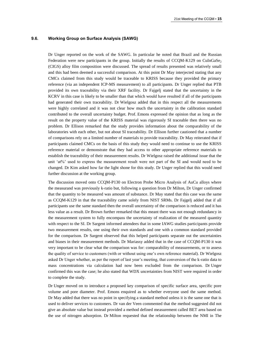#### **9.6. Working Group on Surface Analysis (SAWG)**

Dr Unger reported on the work of the SAWG. In particular he noted that Brazil and the Russian Federation were new participants in the group. Initially the results of  $CCOM-K129$  on  $CuInGaSe<sub>2</sub>$ (CIGS) alloy film composition were discussed. The spread of results presented was relatively small and this had been deemed a successful comparison. At this point Dr May interjected stating that any CMCs claimed from this study would be traceable to KRISS because they provided the primary reference (via an independent ICP-MS measurement) to all participants. Dr Unger replied that PTB provided its own traceability via their XRF facility. Dr Fajgelj stated that the uncertainty in the KCRV in this case is likely to be smaller than that which would have resulted if all of the participants had generated their own traceability. Dr Wielgosz added that in this respect all the measurements were highly correlated and it was not clear how much the uncertainty in the calibration standard contributed to the overall uncertainty budget. Prof. Emons expressed the opinion that as long as the result on the property value of the KRISS material was rigorously SI traceable then there was no problem. Dr Ellison remarked that the study provides information about the comparability of the laboratories with each other, but not about SI traceability. Dr Ellison further cautioned that a number of comparisons rely on a limited number of materials to provide traceability. Dr May reiterated that if participants claimed CMCs on the basis of this study they would need to continue to use the KRISS reference material or demonstrate that they had access to other appropriate reference materials to establish the traceability of their measurement results. Dr Wielgosz raised the additional issue that the unit 'at%' used to express the measurement result were not part of the SI and would need to be changed. Dr Kim asked how far the light shone for this study. Dr Unger replied that this would need further discussion at the working group.

The discussion moved onto CCQM-P130 on Electron Probe Micro Analysis of AuCu alloys where the measurand was previously k-ratio but, following a question from Dr Milton, Dr Unger confirmed that the quantity to be measured was amount of substance. Dr May stated that this case was the same as CCQM-K129 in that the traceability came solely from NIST SRMs. Dr Fajgelj added that if all participants use the same standard then the overall uncertainty of the comparison is reduced and it has less value as a result. Dr Brown further remarked that this meant there was not enough redundancy in the measurement system to fully encompass the uncertainty of realization of the measured quantity with respect to the SI. Dr Sargent informed attendees that in some IAWG studies participants provide two measurement results, one using their own standards and one with a common standard provided for the comparison. Dr Sargent observed that this helped participants separate out the uncertainties and biases in their measurement methods. Dr Mariassy added that in the case of CCQM-P130 it was very important to be clear what the comparison was for: comparability of measurements, or to assess the quality of service to customers (with or without using one's own reference material). Dr Wielgosz asked Dr Unger whether, as per the report of last year's meeting, that conversion of the k-ratio data to mass concentrations via calculation had now been excluded from the comparison. Dr Unger confirmed this was the case; he also stated that WDX uncertainties from NIST were required in order to complete the study.

Dr Unger moved on to introduce a proposed key comparison of specific surface area, specific pore volume and pore diameter. Prof. Emons enquired as to whether everyone used the same method. Dr May added that there was no point in specifying a standard method unless it is the same one that is used to deliver services to customers. Dr van der Veen commented that the method suggested did not give an absolute value but instead provided a method defined measurement called BET area based on the use of nitrogen adsorption. Dr Milton requested that the relationship between the NMI in The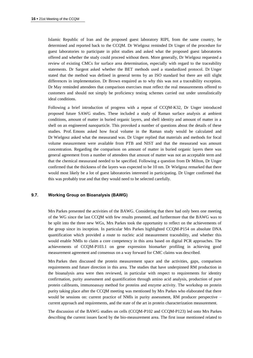Islamic Republic of Iran and the proposed guest laboratory RIPI, from the same country, be determined and reported back to the CCQM. Dr Wielgosz reminded Dr Unger of the procedure for guest laboratories to participate in pilot studies and asked what the proposed guest laboratories offered and whether the study could proceed without them. More generally, Dr Wielgosz requested a review of existing CMCs for surface area determination, especially with regard to the traceability statements. Dr Sargent asked whether the BET methods used a standardized protocol. Dr Unger stated that the method was defined in general terms by an ISO standard but there are still slight differences in implementation. Dr Brown enquired as to why this was not a traceability exception. Dr May reminded attendees that comparison exercises must reflect the real measurements offered to customers and should not simply be proficiency testing schemes carried out under unrealistically ideal conditions.

Following a brief introduction of progress with a repeat of CCQM-K32, Dr Unger introduced proposed future SAWG studies. These included a study of Raman surface analysis at ambient conditions, amount of matter in buried organic layers, and shell identity and amount of matter in a shell on an engineered nanoparticle. This provoked a number of questions about the details of these studies. Prof. Emons asked how focal volume in the Raman study would be calculated and Dr Wielgosz asked what the measurand was. Dr Unger replied that materials and methods for focal volume measurement were available from PTB and NIST and that the measurand was amount concentration. Regarding the comparison on amount of matter in buried organic layers there was general agreement from a number of attendees that amount of matter was not an acceptable term and that the chemical measurand needed to be specified. Following a question from Dr Milton, Dr Unger confirmed that the thickness of the layers was expected to be 10 nm. Dr Wielgosz remarked that there would most likely be a lot of guest laboratories interested in participating. Dr Unger confirmed that this was probably true and that they would need to be selected carefully.

## **9.7. Working Group on Bioanalysis (BAWG)**

Mrs Parkes presented the activities of the BAWG. Considering that there had only been one meeting of the WG since the last CCQM with few results presented, and furthermore that the BAWG was to be split into the three new WGs, Mrs Parkes took the opportunity to reflect on the achievements of the group since its inception. In particular Mrs Parkes highlighted CCQM-P154 on absolute DNA quantification which provided a route to nucleic acid measurement traceability, and whether this would enable NMIs to claim a core competency in this area based on digital PCR approaches. The achievements of CCQM-P103.1 on gene expression biomarker profiling in achieving good measurement agreement and consensus on a way forward for CMC claims was described.

Mrs Parkes then discussed the protein measurement space and the activities, gaps, comparison requirements and future direction in this area. The studies that have underpinned RM production in the bioanalysis area were then reviewed, in particular with respect to requirements for identity confirmation, purity assessment and quantification through amino acid analysis, production of pure protein calibrants, immunoassay method for proteins and enzyme activity. The workshop on protein purity taking place after the CCQM meeting was mentioned by Mrs Parkes who elaborated that there would be sessions on: current practice of NMIs in purity assessment, RM producer perspective – current approach and requirements, and the state of the art in protein characterization measurement.

The discussion of the BAWG studies on cells (CCQM-P102 and CCQM-P123) led onto Mrs Parkes describing the current issues faced by the bio-measurement area. The first issue mentioned related to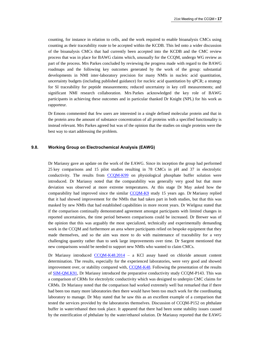counting, for instance in relation to cells, and the work required to enable bioanalysis CMCs using counting as their traceability route to be accepted within the KCDB. This led onto a wider discussion of the bioanalysis CMCs that had currently been accepted into the KCDB and the CMC review process that was in place for BAWG claims which, unusually for the CCQM, undergo WG review as part of the process. Mrs Parkes concluded by reviewing the progress made with regard to the BAWG roadmaps and the following key outcomes generated by the work of the group: substantial developments in NMI inter-laboratory precision for many NMIs in nucleic acid quantitation, uncertainty budgets (including published guidance) for nucleic acid quantitation by qPCR; a strategy for SI traceability for peptide measurements; reduced uncertainty in key cell measurements; and significant NMI research collaboration. Mrs Parkes acknowledged the key role of BAWG participants in achieving these outcomes and in particular thanked Dr Knight (NPL) for his work as rapporteur.

Dr Emons commented that few users are interested in a single defined molecular protein and that in the protein area the amount of substance concentration of all proteins with a specified functionality is instead relevant. Mrs Parkes agreed but was of the opinion that the studies on single proteins were the best way to start addressing the problem.

# **9.8. Working Group on Electrochemical Analysis (EAWG)**

Dr Mariassy gave an update on the work of the EAWG. Since its inception the group had performed 25 key comparisons and 15 pilot studies resulting in 78 CMCs in pH and 37 in electrolytic conductivity. The results from [CCQM-K99](http://kcdb.bipm.org/appendixB/KCDB_ApB_info.asp?cmp_idy=1151&cmp_cod=CCQM-K99&prov=exalead) on physiological phosphate buffer solution were introduced. Dr Mariassy noted that the comparability was generally very good but that more deviation was observed at more extreme temperatures. At this stage Dr May asked how the comparability had improved since the similar [CCQM-K9](http://kcdb.bipm.org/appendixB/KCDB_ApB_info.asp?cmp_idy=160&cmp_cod=CCQM-K9&prov=exalead) study 15 years ago. Dr Mariassy replied that it had showed improvement for the NMIs that had taken part in both studies, but that this was masked by new NMIs that had established capabilities in more recent years. Dr Wielgosz stated that if the comparison continually demonstrated agreement amongst participants with limited changes in reported uncertainties, the time period between comparisons could be increased. Dr Brewer was of the opinion that this was arguably the most specialized, technically and experimentally demanding work in the CCQM and furthermore an area where participants relied on bespoke equipment that they made themselves, and so the aim was more to do with maintenance of traceability for a very challenging quantity rather than to seek large improvements over time. Dr Sargent mentioned that new comparisons would be needed to support new NMIs who wanted to claim CMCs.

Dr Mariassy introduced [CCQM-K48.2014](http://kcdb.bipm.org/appendixB/KCDB_ApB_info.asp?cmp_idy=1338&cmp_cod=CCQM-K114&prov=exalead) – a KCl assay based on chloride amount content determination. The results, especially for the experienced laboratories, were very good and showed improvement over, or stability compared with, [CCQM-K48.](http://kcdb.bipm.org/appendixB/KCDB_ApB_info.asp?cmp_idy=735&cmp_cod=CCQM-K48&prov=exalead) Following the presentation of the results of [SIM-QM.K91,](http://kcdb.bipm.org/appendixB/KCDB_ApB_info.asp?cmp_idy=1393&cmp_cod=SIM.QM-K91&prov=exalead) Dr Mariassy introduced the preparative conductivity study CCQM-P143. This was a comparison of CRMs for electrolytic conductivity which was designed to underpin CMC claims for CRMs. Dr Mariassy noted that the comparison had worked extremely well but remarked that if there had been too many more laboratories then there would have been too much work for the coordinating laboratory to manage. Dr May stated that he saw this as an excellent example of a comparison that tested the services provided by the laboratories themselves. Discussion of CCQM-P152 on phthalate buffer in water/ethanol then took place. It appeared that there had been some stability issues caused by the esterification of phthalate by the water/ethanol solution. Dr Mariassy reported that the EAWG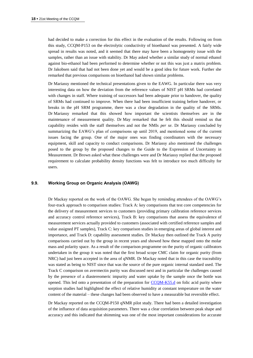had decided to make a correction for this effect in the evaluation of the results. Following on from this study, CCQM-P153 on the electrolytic conductivity of bioethanol was presented. A fairly wide spread in results was noted, and it seemed that there may have been a homogeneity issue with the samples, rather than an issue with stability. Dr May asked whether a similar study of normal ethanol against bio-ethanol had been performed to determine whether or not this was just a matrix problem. Dr Jakobsen said that had not been done yet and would be a good idea for future work. Further she remarked that previous comparisons on bioethanol had shown similar problems.

Dr Mariassy mentioned the technical presentations given to the EAWG. In particular there was very interesting data on how the deviation from the reference values of NIST pH SRMs had correlated with changes in staff. Where training of successors had been adequate prior to handover, the quality of SRMs had continued to improve. When there had been insufficient training before handover, or breaks in the pH SRM programme, there was a clear degradation in the quality of the SRMs. Dr Mariassy remarked that this showed how important the scientists themselves are in the maintenance of measurement quality. Dr May remarked that he felt this should remind us that capability resides with the staff themselves and not the NMIs *per se*. Dr Mariassy concluded by summarizing the EAWG's plan of comparisons up until 2019, and mentioned some of the current issues facing the group. One of the major ones was finding coordinators with the necessary equipment, skill and capacity to conduct comparisons. Dr Mariassy also mentioned the challenges posed to the group by the proposed changes to the Guide to the Expression of Uncertainty in Measurement. Dr Brown asked what these challenges were and Dr Mariassy replied that the proposed requirement to calculate probability density functions was felt to introduce too much difficulty for users.

#### **9.9. Working Group on Organic Analysis (OAWG)**

Dr Mackay reported on the work of the OAWG. She began by reminding attendees of the OAWG's four-track approach to comparison studies: Track A: key comparisons that test core competencies for the delivery of measurement services to customers (providing primary calibration reference services and accuracy control reference services), Track B: key comparisons that assess the equivalence of measurement services actually provided to customers (associated with certified reference samples and value assigned PT samples), Track C: key comparison studies in emerging areas of global interest and importance, and Track D: capability assessment studies. Dr Mackay then outlined the Track A purity comparisons carried out by the group in recent years and showed how these mapped onto the molar mass and polarity space. As a result of the comparison programme on the purity of organic calibrators undertaken in the group it was noted that the first broad scope CMC claim for organic purity (from NRC) had just been accepted in the area of qNMR. Dr Mackay noted that in this case the traceability was stated as being to NIST since that was the source of the pure organic internal standard used. The Track C comparison on avermectin purity was discussed next and in particular the challenges caused by the presence of a diastereomeric impurity and water uptake by the sample once the bottle was opened. This led onto a presentation of the preparation for [CCQM-K55.d](http://kcdb.bipm.org/appendixB/KCDB_ApB_info.asp?cmp_idy=1359&cmp_cod=CCQM-K55.d&prov=exalead) on folic acid purity where sorption studies had highlighted the effect of relative humidity at constant temperature on the water content of the material – these changes had been observed to have a measurable but reversible effect.

Dr Mackay reported on the CCQM-P150 qNMR pilot study. There had been a detailed investigation of the influence of data acquisition parameters. There was a clear correlation between peak shape and accuracy and this indicated that shimming was one of the most important considerations for accurate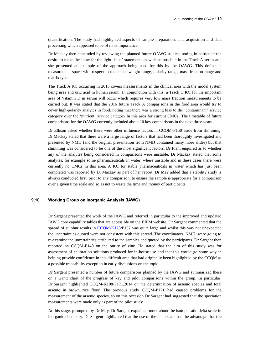quantification. The study had highlighted aspects of sample preparation, data acquisition and data processing which appeared to be of most importance.

Dr Mackay then concluded by reviewing the planned future OAWG studies, noting in particular the desire to make the 'how far the light shine' statements as wide as possible in the Track A series and she presented an example of the approach being used for this by the OAWG. This defines a measurement space with respect to molecular weight range, polarity range, mass fraction range and matrix type.

The Track A KC occurring in 2015 covers measurements in the clinical area with the model system being urea and uric acid in human serum. In conjunction with this, a Track C KC for the important area of Vitamin D in serum will occur which requires very low mass fraction measurements to be carried out. It was stated that the 2016 future Track A comparisons in the food area would try to cover high-polarity analytes in food, noting that there was a strong bias to the 'contaminant' service category over the 'nutrient' service category in this area for current CMCs. The timetable of future comparisons for the OAWG currently included about 10 key comparisons in the next three years.

Dr Ellison asked whether there were other influence factors in CCQM-P150 aside from shimming. Dr Mackay stated that there were a large range of factors that had been thoroughly investigated and presented by NMIJ (and the original presentation from NMIJ contained many more slides) but that shimming was considered to be one of the most significant factors. Dr Plant enquired as to whether any of the analytes being considered in comparisons were unstable. Dr Mackay stated that some analytes, for example some pharmaceuticals in water, where unstable and in these cases there were currently no CMCs in this area. A KC for stable pharmaceuticals in water which has just been completed was reported by Dr Mackay as part of her report. Dr May added that a stability study is always conducted first, prior to any comparison, to ensure the sample is appropriate for a comparison over a given time scale and so as not to waste the time and money of participants.

# **9.10. Working Group on Inorganic Analysis (IAWG)**

Dr Sargent presented the work of the IAWG and referred in particular to the improved and updated IAWG core capability tables that are accessible on the BIPM website. Dr Sargent commented that the spread of sulphur results in  $CCOM-K123/P157$  was quite large and whilst this was not unexpected the uncertainties quoted were not consistent with this spread. The coordinators, NMIJ, were going to re-examine the uncertainties attributed to the samples and quoted by the participants. Dr Sargent then reported on CCQM-P149 on the purity of zinc. He stated that the aim of this study was for assessment of calibration solutions produced for in-house use and that this would go some way in helping provide confidence in this difficult area that had originally been highlighted by the CCQM as a possible traceability exception in early discussions on the topic.

Dr Sargent presented a number of future comparisons planned by the IAWG and summarized these on a Gantt chart of the progress of key and pilot comparisons within the group. In particular, Dr Sargent highlighted CCQM-K108/P171.2014 on the determination of arsenic species and total arsenic in brown rice flour. The previous study CCQM-P171 had caused problems for the measurement of the arsenic species, so on this occasion Dr Sargent had suggested that the speciation measurements were made only as part of the pilot study.

At this stage, prompted by Dr May, Dr Sargent explained more about the isotope ratio delta scale in inorganic chemistry. Dr Sargent highlighted that the use of the delta scale has the advantage that the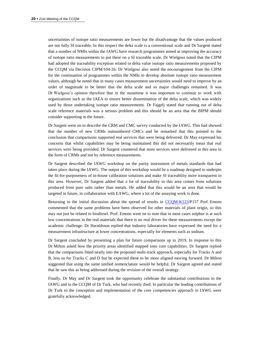uncertainties of isotope ratio measurements are lower but the disadvantage that the values produced are not fully SI traceable. In this respect the delta scale is a conventional scale and Dr Sargent stated that a number of NMIs within the IAWG have research programmes aimed at improving the accuracy of isotope ratio measurements to put these on a SI traceable scale. Dr Wielgosz noted that the CIPM had adopted the traceability exception related to delta value isotope ratio measurements proposed by the CCQM via Decision CIPM/104-26. Dr Wielgosz also noted the encouragement from the CIPM for the continuation of programmes within the NMIs to develop absolute isotope ratio measurement values, although he noted that in many cases measurement uncertainties would need to improve by an order of magnitude to be better that the delta scale and so major challenges remained. It was Dr Wielgosz's opinion therefore that in the meantime it was important to continue to work with organizations such as the IAEA to ensure better dissemination of the delta scale, which was widely used by those undertaking isotope ratio measurements. Dr Fajgelj stated that running out of delta scale reference materials was a serious problem and this should be an area that the BIPM should consider supporting in the future.

Dr Sargent went on to describe the CRM and CMC survey conducted by the IAWG. This had showed that the number of new CRMs outnumbered CMCs and he remarked that this pointed to the conclusion that comparisons supported real services that were being delivered. Dr May expressed his concerns that whilst capabilities may be being maintained this did not necessarily mean that real services were being provided. Dr Sargent countered that most services were delivered in this area in the form of CRMs and not by reference measurements.

Dr Sargent described the IAWG workshop on the purity assessment of metals standards that had taken place during the IAWG. The output of this workshop would be a roadmap designed to underpin the fit-for-purposeness of in-house calibration solutions and make SI traceability more transparent in this area. However, Dr Sargent added that a lot of traceability in this area comes from solutions produced from pure salts rather than metals. He added that this would be an area that would be targeted in future, in collaboration with EAWG, where a lot of the assaying work is done.

Returning to the initial discussion about the spread of results in [CCQM-K123/](http://kcdb.bipm.org/appendixB/KCDB_ApB_info.asp?cmp_idy=1367&cmp_cod=CCQM-K123&prov=exalead)P157 Prof. Emons commented that the same problems have been observed for other materials of plant origin, so this may not just be related to biodiesel. Prof. Emons went on to note that in most cases sulphur is at such low concentrations in the real materials that there is no real driver for these measurements except the academic challenge. Dr Haraldsson replied that industry laboratories have expressed the need for a measurement infrastructure at lower concentrations, especially for elements such as sodium.

Dr Sargent concluded by presenting a plan for future comparisons up to 2019. In response to this Dr Milton asked how the priority areas identified mapped onto core capabilities. Dr Sargent replied that the comparisons fitted neatly into the proposed multi-track approach, especially for Tracks A and B, less so for Tracks C and D but he expected these to be more aligned moving forward. Dr Milton suggested that using the same unified nomenclature would be helpful. Dr Sargent agreed and stated that he saw this as being addressed during the revision of the overall strategy.

Finally, Dr May and Dr Sargent took the opportunity celebrate the substantial contributions to the IAWG and to the CCQM of Dr Turk, who had recently died. In particular the leading contributions of Dr Turk to the conception and implementation of the core competencies approach in IAWG were gratefully acknowledged.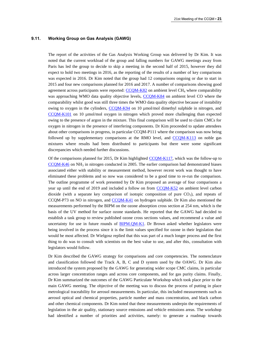#### **9.11. Working Group on Gas Analysis (GAWG)**

The report of the activities of the Gas Analysis Working Group was delivered by Dr Kim. It was noted that the current workload of the group and falling numbers for GAWG meetings away from Paris has led the group to decide to skip a meeting in the second half of 2015, however they did expect to hold two meetings in 2016, as the reporting of the results of a number of key comparisons was expected in 2016. Dr Kim noted that the group had 12 comparisons ongoing or due to start in 2015 and four new comparisons planned for 2016 and 2017. A number of comparisons showing good agreement across participants were reported:  $CCOM-K82$  on ambient level  $CH<sub>4</sub>$  where comparability was approaching WMO data quality objective levels, [CCQM-K84](http://kcdb.bipm.org/appendixB/KCDB_ApB_info.asp?cmp_idy=1064&cmp_cod=CCQM-K84&prov=exalead) on ambient level CO where the comparability whilst good was still three times the WMO data quality objective because of instability owing to oxygen in the cylinders, [CCQM-K94](http://kcdb.bipm.org/appendixB/KCDB_ApB_info.asp?cmp_idy=1146&cmp_cod=CCQM-K94&prov=exalead) on 10 µmol/mol dimethyl sulphide in nitrogen, and [CCQM-K101](http://kcdb.bipm.org/appendixB/KCDB_ApB_info.asp?cmp_idy=1168&cmp_cod=CCQM-K101&prov=exalead) on 10 µmol/mol oxygen in nitrogen which proved more challenging than expected owing to the presence of argon in the mixture. This final comparison will be used to claim CMCs for oxygen in nitrogen in the presence of interfering components. Dr Kim proceeded to update attendees about other comparisons in progress, in particular CCQM-P111 where the comparison was now being followed up by supplementary comparisons at the RMO level, and [CCQM-K113](http://kcdb.bipm.org/appendixB/KCDB_ApB_info.asp?cmp_idy=1337&cmp_cod=CCQM-K113&prov=exalead) on noble gas mixtures where results had been distributed to participants but there were some significant discrepancies which needed further discussions.

Of the comparisons planned for 2015, Dr Kim highlighted [CCQM-K117,](http://kcdb.bipm.org/appendixB/KCDB_ApB_info.asp?cmp_idy=1361&cmp_cod=CCQM-K117&prov=exalead) which was the follow-up to  $CCOM-K46$  on NH<sub>3</sub> in nitrogen conducted in 2005. The earlier comparison had demonstrated biases associated either with stability or measurement method, however recent work was thought to have eliminated these problems and so now was considered to be a good time to re-run the comparison. The outline programme of work presented by Dr Kim proposed an average of four comparisons a year up until the end of 2019 and included a follow on from [CCQM-K52](http://kcdb.bipm.org/appendixB/KCDB_ApB_info.asp?cmp_idy=758&cmp_cod=CCQM-K52&prov=exalead) on ambient level carbon dioxide (with a separate key comparison of isotopic composition of pure  $CO<sub>2</sub>$ ), and repeats of CCQM-P73 on NO in nitrogen, and [CCQM-K41](http://kcdb.bipm.org/appendixB/KCDB_ApB_info.asp?cmp_idy=636&cmp_cod=CCQM-K41&prov=exalead) on hydrogen sulphide. Dr Kim also mentioned the measurements performed by the BIPM on the ozone absorption cross section at 254 nm, which is the basis of the UV method for surface ozone standards. He reported that the GAWG had decided to establish a task group to review published ozone cross sections values, and recommend a value and uncertainty for use in future rounds of [BIPM.QM-K1.](http://kcdb.bipm.org/appendixB/KCDB_ApB_info.asp?cmp_idy=733&cmp_cod=BIPM.QM-K1&prov=exalead) Dr Brown asked whether legislators were being involved in the process since it is the limit values specified for ozone in their legislation that would be most affected. Dr Wielgosz replied that this was part of a much longer process and the first thing to do was to consult with scientists on the best value to use, and after this, consultation with legislators would follow.

Dr Kim described the GAWG strategy for comparisons and core competencies. The nomenclature and classification followed the Track A, B, C and D system used by the OAWG. Dr Kim also introduced the system proposed by the GAWG for generating wider scope CMC claims, in particular across larger concentration ranges and across core components, and for gas purity claims. Finally, Dr Kim summarized the outcomes of the GAWG Particulate Workshop which took place prior to the main GAWG meeting. The objective of the meeting was to discuss the process of putting in place metrological traceability for aerosol measurements. In particular, this included measurements such as aerosol optical and chemical properties, particle number and mass concentration, and black carbon and other chemical components. Dr Kim noted that these measurements underpin the requirements of legislation in the air quality, stationary source emissions and vehicle emissions areas. The workshop had identified a number of priorities and activities, namely: to generate a roadmap towards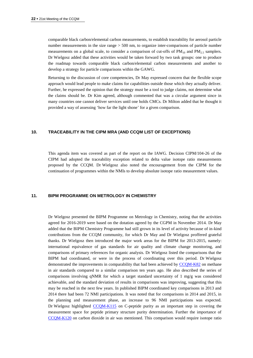comparable black carbon/elemental carbon measurements, to establish traceability for aerosol particle number measurements in the size range > 500 nm, to organize inter-comparisons of particle number measurements on a global scale, to consider a comparison of cut-offs of  $PM_{10}$  and  $PM_{2.5}$  samplers. Dr Wielgosz added that these activities would be taken forward by two task groups: one to produce the roadmap towards comparable black carbon/elemental carbon measurements and another to develop a strategy for particle comparisons within the GAWG.

Returning to the discussion of core competencies, Dr May expressed concern that the flexible scope approach would lead people to make claims for capabilities outside those which they actually deliver. Further, he expressed the opinion that the strategy must be a tool to judge claims, not determine what the claims should be. Dr Kim agreed, although commented that was a circular argument since in many countries one cannot deliver services until one holds CMCs. Dr Milton added that he thought it provided a way of assessing 'how far the light shone' for a given comparison.

#### **10. TRACEABILITY IN THE CIPM MRA (AND CCQM LIST OF EXCEPTIONS)**

This agenda item was covered as part of the report on the IAWG. Decision CIPM/104-26 of the CIPM had adopted the traceability exception related to delta value isotope ratio measurements proposed by the CCQM. Dr Wielgosz also noted the encouragement from the CIPM for the continuation of programmes within the NMIs to develop absolute isotope ratio measurement values.

#### **11. BIPM PROGRAMME ON METROLOGY IN CHEMISTRY**

Dr Wielgosz presented the BIPM Programme on Metrology in Chemistry, noting that the activities agreed for 2016-2019 were based on the dotation agreed by the CGPM in November 2014. Dr May added that the BIPM Chemistry Programme had still grown in its level of activity because of in-kind contributions from the CCQM community, for which Dr May and Dr Wielgosz proffered grateful thanks. Dr Wielgosz then introduced the major work areas for the BIPM for 2013-2015, namely: international equivalence of gas standards for air quality and climate change monitoring, and comparisons of primary references for organic analysis. Dr Wielgosz listed the comparisons that the BIPM had coordinated, or were in the process of coordinating over this period. Dr Wielgosz demonstrated the improvements in comparability that had been achieved by [CCQM-K82](http://kcdb.bipm.org/appendixB/KCDB_ApB_info.asp?cmp_idy=1062&cmp_cod=CCQM-K82&prov=exalead) on methane in air standards compared to a similar comparison ten years ago. He also described the series of comparisons involving qNMR for which a target standard uncertainty of 1 mg/g was considered achievable, and the standard deviation of results in comparisons was improving, suggesting that this may be reached in the next few years. In published BIPM coordinated key comparisons in 2013 and 2014 there had been 72 NMI participations. It was noted that for comparisons in 2014 and 2015, in the planning and measurement phase, an increase to 96 NMI participations was expected. Dr Wielgosz highlighted [CCQM-K115](http://kcdb.bipm.org/appendixB/KCDB_ApB_info.asp?cmp_idy=1339&cmp_cod=CCQM-K115&prov=exalead) on C-peptide purity as an important step in covering the measurement space for peptide primary structure purity determination. Further the importance of [CCQM-K120](http://kcdb.bipm.org/appendixB/KCDB_ApB_info.asp?cmp_idy=1364&cmp_cod=CCQM-K120&prov=exalead) on carbon dioxide in air was mentioned. This comparison would require isotope ratio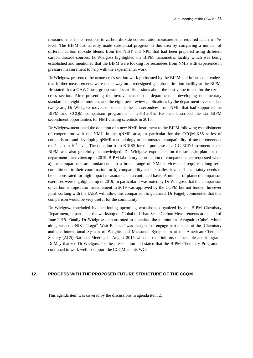measurements for corrections to carbon dioxide concentration measurements required at the  $\pm$  1‰ level. The BIPM had already made substantial progress in this area by comparing a number of different carbon dioxide blends from the NIST and NPL that had been prepared using different carbon dioxide sources. Dr Wielgosz highlighted the BIPM manometric facility which was being established and mentioned that the BIPM were looking for secondees from NMIs with experience in pressure measurement to help with the experimental work.

Dr Wielgosz presented the ozone cross section work performed by the BIPM and informed attendees that further measurements were under way on a redesigned gas phase titration facility at the BIPM. He stated that a GAWG task group would start discussions about the best value to use for the ozone cross section. After presenting the involvement of the department in developing documentary standards on eight committees and the eight peer-review publications by the department over the last two years, Dr Wielgosz moved on to thank the ten secondees from NMIs that had supported the BIPM and CCQM comparison programme in 2013-2015. He then described the six BIPM secondment opportunities for NMI visiting scientists in 2016.

Dr Wielgosz mentioned the donation of a new NMR instrument to the BIPM following establishment of cooperation with the NMIJ in the qNMR area, in particular for the CCQM-K55 series of comparisons, and developing qNMR methodology to demonstrate compatibility of measurements at the 1 part in  $10^3$  level. The donation from KRISS for the purchase of a GC-ECD instrument at the BIPM was also gratefully acknowledged. Dr Wielgosz expounded on the strategic plan for the department's activities up to 2019. BIPM laboratory coordination of comparisons are requested when a) the comparisons are fundamental to a broad range of NMI services and require a long-term commitment to their coordination; or b) comparability at the smallest levels of uncertainty needs to be demonstrated for high impact measurands on a continued basis. A number of planned comparison exercises were highlighted up to 2019. In particular it was noted by Dr Wielgosz that the comparison on carbon isotope ratio measurement in 2019 was approved by the CGPM but not funded, however joint working with the IAEA will allow this comparison to go ahead. Dr Fajgelj commented that this comparison would be very useful for the community.

Dr Wielgosz concluded by mentioning upcoming workshops organized by the BIPM Chemistry Department, in particular the workshop on Global to Urban Scale Carbon Measurements at the end of June 2015. Finally Dr Wielgosz demonstrated to attendees the aluminium 'Avogadro Cube', which along with the NIST 'Lego® Watt Balance' was designed to engage participants at the 'Chemistry and the International System of Weights and Measures' Symposium at the American Chemical Society (ACS) National Meeting in August 2015 with the redefinitions of the mole and kilogram. Dr May thanked Dr Wielgosz for the presentation and stated that the BIPM Chemistry Programme continued to work well to support the CCQM and its WGs.

## **12. PROGESS WITH THE PROPOSED FUTURE STRUCTURE OF THE CCQM**

This agenda item was covered by the discussions in agenda item 2.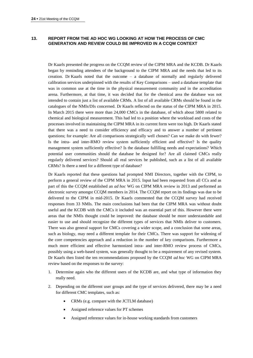# **13. REPORT FROM THE AD HOC WG LOOKING AT HOW THE PROCESS OF CMC GENERATION AND REVIEW COULD BE IMPROVED IN A CCQM CONTEXT**

Dr Kaarls presented the progress on the CCQM review of the CIPM MRA and the KCDB. Dr Kaarls began by reminding attendees of the background to the CIPM MRA and the needs that led to its creation. Dr Kaarls noted that the outcome – a database of normally and regularly delivered calibration services underpinned with the results of Key Comparisons – used a database template that was in common use at the time in the physical measurement community and in the accreditation arena. Furthermore, at that time, it was decided that for the chemical area the database was not intended to contain just a list of available CRMs. A list of all available CRMs should be found in the catalogues of the NMIs/DIs concerned. Dr Kaarls reflected on the status of the CIPM MRA in 2015. In March 2015 there were more than 24,000 CMCs in the database, of which about 5800 related to chemical and biological measurement. This had led to a position where the workload and costs of the processes involved in maintaining the CIPM MRA in its current form were too high. Dr Kaarls stated that there was a need to consider efficiency and efficacy and to answer a number of pertinent questions; for example: Are all comparisons strategically well chosen? Can we make do with fewer? Is the intra- and inter-RMO review system sufficiently efficient and effective? Is the quality management system sufficiently effective? Is the database fulfilling needs and expectations? Which potential user communities should the database be designed for? Are all claimed CMCs really regularly delivered services? Should all real services be published, such as a list of all available CRMs? Is there a need for a different type of database?

Dr Kaarls reported that these questions had prompted NMI Directors, together with the CIPM, to perform a general review of the CIPM MRA in 2015. Input had been requested from all CCs and as part of this the CCQM established an *ad hoc* WG on CIPM MRA review in 2013 and performed an electronic survey amongst CCQM members in 2014. The CCQM report on its findings was due to be delivered to the CIPM in mid-2015. Dr Kaarls commented that the CCQM survey had received responses from 33 NMIs. The main conclusions had been that the CIPM MRA was without doubt useful and the KCDB with the CMCs it included was an essential part of this. However there were areas that the NMIs thought could be improved: the database should be more understandable and easier to use and should recognize the different types of services that NMIs deliver to customers. There was also general support for CMCs covering a wider scope, and a conclusion that some areas, such as biology, may need a different template for their CMCs. There was support for widening of the core competencies approach and a reduction in the number of key comparisons. Furthermore a much more efficient and effective harmonized intra- and inter-RMO review process of CMCs, possibly using a web-based system, was generally thought to be a requirement of any revised system. Dr Kaarls then listed the ten recommendations proposed by the CCQM *ad hoc* WG on CIPM MRA review based on the responses to the survey:

- 1. Determine again who the different users of the KCDB are, and what type of information they really need.
- 2. Depending on the different user groups and the type of services delivered, there may be a need for different CMC templates, such as:
	- CRMs (e.g. compare with the JCTLM database)
	- Assigned reference values for PT schemes
	- Assigned reference values for in-house working standards from customers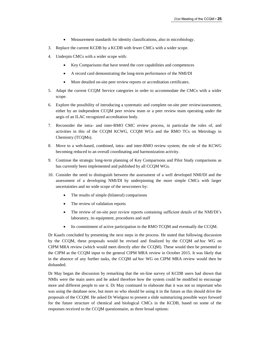- Measurement standards for identity classifications, also in microbiology.
- 3. Replace the current KCDB by a KCDB with fewer CMCs with a wider scope.
- 4. Underpin CMCs with a wider scope with:
	- Key Comparisons that have tested the core capabilities and competences
	- A record card demonstrating the long-term performance of the NMI/DI
	- More detailed on-site peer review reports or accreditation certificates.
- 5. Adapt the current CCQM Service categories in order to accommodate the CMCs with a wider scope.
- 6. Explore the possibility of introducing a systematic and complete on-site peer review/assessment, either by an independent CCQM peer review team or a peer review team operating under the aegis of an ILAC recognized accreditation body.
- 7. Reconsider the intra- and inter-RMO CMC review process, in particular the roles of, and activities in this of the CCQM KCWG, CCQM WGs and the RMO TCs on Metrology in Chemistry (TCQMs).
- 8. Move to a web-based, combined, intra- and inter-RMO review system; the role of the KCWG becoming reduced to an overall coordinating and harmonization activity.
- 9. Continue the strategic long-term planning of Key Comparisons and Pilot Study comparisons as has currently been implemented and published by all CCQM WGs.
- 10. Consider the need to distinguish between the assessment of a well developed NMI/DI and the assessment of a developing NMI/DI by underpinning the more simple CMCs with larger uncertainties and no wide scope of the newcomers by:
	- The results of simple (bilateral) comparisons
	- The review of validation reports
	- The review of on-site peer review reports containing sufficient details of the NMI/DI's laboratory, its equipment, procedures and staff
	- Its commitment of active participation in the RMO TCQM and eventually the CCQM.

Dr Kaarls concluded by presenting the next steps in the process. He stated that following discussion by the CCQM, these proposals would be revised and finalized by the CCQM *ad hoc* WG on CIPM MRA review (which would meet directly after the CCQM). These would then be presented to the CIPM as the CCQM input to the general CIPM MRA review in October 2015. It was likely that in the absence of any further tasks, the CCQM *ad hoc* WG on CIPM MRA review would then be disbanded.

Dr May began the discussion by remarking that the on-line survey of KCDB users had shown that NMIs were the main users and he asked therefore how the system could be modified to encourage more and different people to use it. Dr May continued to elaborate that it was not so important who was using the database now, but more so who should be using it in the future as this should drive the proposals of the CCQM. He asked Dr Wielgosz to present a slide summarizing possible ways forward for the future structure of chemical and biological CMCs in the KCDB, based on some of the responses received to the CCQM questionnaire, as three broad options: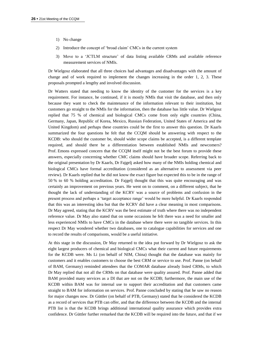- 1) No change
- 2) Introduce the concept of 'broad claim' CMCs in the current system
- 3) Move to a 'JCTLM structure' of data listing available CRMs and available reference measurement services of NMIs.

Dr Wielgosz elaborated that all three choices had advantages and disadvantages with the amount of change and of work required to implement the changes increasing in the order 1, 2, 3. These proposals prompted a lengthy and involved discussion.

Dr Watters stated that needing to know the identity of the customer for the services is a key requirement. For instance, he continued, if it is mostly NMIs that visit the database, and then only because they want to check the maintenance of the information relevant to their institution, but customers go straight to the NMIs for the information, then the database has little value. Dr Wielgosz replied that 75 % of chemical and biological CMCs come from only eight countries (China, Germany, Japan, Republic of Korea, Mexico, Russian Federation, United States of America and the United Kingdom) and perhaps these countries could be the first to answer this question. Dr Kaarls summarized the four questions he felt that the CCQM should be answering with respect to the KCDB: who should the customer be, should wider scope claims be accepted, is a different template required, and should there be a differentiation between established NMIs and newcomers? Prof. Emons expressed concern that the CCQM itself might not be the best forum to provide these answers, especially concerning whether CMC claims should have broader scope. Referring back to the original presentation by Dr Kaarls, Dr Fajgelj asked how many of the NMIs holding chemical and biological CMCs have formal accreditation (considered as an alternative to assessment via peer review). Dr Kaarls replied that he did not know the exact figure but expected this to be in the range of 50 % to 60 % holding accreditation. Dr Fajgelj thought that this was quite encouraging and was certainly an improvement on previous years. He went on to comment, on a different subject, that he thought the lack of understanding of the KCRV was a source of problems and confusion in the present process and perhaps a 'target acceptance range' would be more helpful. Dr Kaarls responded that this was an interesting idea but that the KCRV did have a clear meaning in most comparisons. Dr May agreed, stating that the KCRV was the best estimate of truth where there was no independent reference value. Dr May also stated that on some occasions he felt there was a need for smaller and less experienced NMIs to have CMCs in the database where there were no tangible services. In this respect Dr May wondered whether two databases, one to catalogue capabilities for services and one to record the results of comparisons, would be a useful initiative.

At this stage in the discussion, Dr May returned to the idea put forward by Dr Wielgosz to ask the eight largest producers of chemical and biological CMCs what their current and future requirements for the KCDB were. Ms Li (on behalf of NIM, China) thought that the database was mainly for customers and it enables customers to choose the best CRM or service to use. Prof. Panne (on behalf of BAM, Germany) reminded attendees that the COMAR database already listed CRMs, to which Dr May replied that not all the CRMs on that database were quality assured. Prof. Panne added that BAM provided many services as a DI that are not on the KCDB; furthermore, the main use of the KCDB within BAM was for internal use to support their accreditation and that customers came straight to BAM for information on services. Prof. Panne concluded by stating that he saw no reason for major changes now. Dr Güttler (on behalf of PTB, Germany) stated that he considered the KCDB as a record of services that PTB can offer, and that the difference between the KCDB and the internal PTB list is that the KCDB brings additional international quality assurance which provides extra confidence. Dr Güttler further remarked that the KCDB will be required into the future, and that if we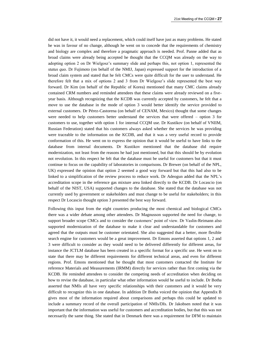did not have it, it would need a replacement, which could itself have just as many problems. He stated he was in favour of no change, although he went on to concede that the requirements of chemistry and biology are complex and therefore a pragmatic approach is needed. Prof. Panne added that as broad claims were already being accepted he thought that the CCQM was already on the way to adopting option 2 on Dr Wielgosz's summary slide and perhaps this, not option 1, represented the *status quo*. Dr Fujimoto (on behalf of the NMIJ, Japan) expressed support for the introduction of a broad claim system and stated that he felt CMCs were quite difficult for the user to understand. He therefore felt that a mix of options 2 and 3 from Dr Wielgosz's slide represented the best way forward. Dr Kim (on behalf of the Republic of Korea) mentioned that many CMC claims already contained CRM numbers and reminded attendees that these claims were already reviewed on a fiveyear basis. Although recognizing that the KCDB was currently accepted by customers, he felt that a move to use the database in the mode of option 3 would better identify the service provided to external customers. Dr Pérez-Castorena (on behalf of CENAM, Mexico) thought that some changes were needed to help customers better understand the services that were offered – option 3 for customers to use, together with option 1 for internal CCQM use. Dr Kustikov (on behalf of VNIIM, Russian Federation) stated that his customers always asked whether the services he was providing were traceable to the information on the KCDB, and that it was a very useful record to provide conformation of this. He went on to express the opinion that it would be useful to have links to the database from internal documents. Dr Kustikov mentioned that the database did require modernization, not least from the reasons he had just mentioned, but that this should be by evolution not revolution. In this respect he felt that the database must be useful for customers but that it must continue to focus on the capability of laboratories in comparisons. Dr Brewer (on behalf of the NPL, UK) expressed the opinion that option 2 seemed a good way forward but that this had also to be linked to a simplification of the review process to reduce work. Dr Adeogun added that the NPL's accreditation scope in the reference gas mixture area linked directly to the KCDB. Dr Locascio (on behalf of the NIST, USA) supported changes to the database. She stated that the database was not currently used by government or stakeholders and must change to be useful for stakeholders; in this respect Dr Locascio thought option 3 presented the best way forward.

Following this input from the eight countries producing the most chemical and biological CMCs there was a wider debate among other attendees. Dr Magnusson supported the need for change, to support broader scope CMCs and to consider the customers' point of view. Dr Vaslin-Reimann also supported modernization of the database to make it clear and understandable for customers and agreed that the outputs must be customer orientated. She also suggested that a better, more flexible search engine for customers would be a great improvement. Dr Emons asserted that options 1, 2 and 3 were difficult to consider as they would need to be delivered differently for different areas, for instance the JCTLM database has been created in a specific format for a specific use. He went on to state that there may be different requirements for different technical areas, and even for different regions. Prof. Emons mentioned that he thought that most customers contacted the Institute for reference Materials and Measurements (IRMM) directly for services rather than first coming via the KCDB. He reminded attendees to consider the competing needs of accreditation when deciding on how to revise the database, in particular what other information would be useful to include. Dr Botha asserted that NMIs all have very specific relationships with their customers and it would be very difficult to recognize this in one database. In addition Dr Botha voiced the opinion that Appendix B gives most of the information required about comparisons and perhaps this could be updated to include a summary record of the overall participation of NMIs/DIs. Dr Jakobsen noted that it was important that the information was useful for customers and accreditation bodies, but that this was not necessarily the same thing. She stated that in Denmark there was a requirement for DFM to maintain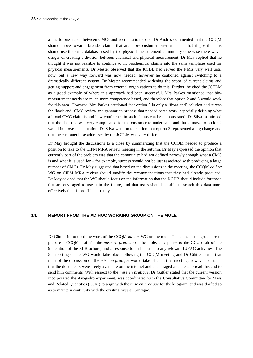a one-to-one match between CMCs and accreditation scope. Dr Andres commented that the CCQM should move towards broader claims that are more customer orientated and that if possible this should use the same database used by the physical measurement community otherwise there was a danger of creating a division between chemical and physical measurement. Dr May replied that he thought it was not feasible to continue to fit biochemical claims into the same templates used for physical measurements. Dr Mester observed that the KCDB had served the NMIs very well until now, but a new way forward was now needed, however he cautioned against switching to a dramatically different system. Dr Mester recommended widening the scope of current claims and getting support and engagement from external organizations to do this. Further, he cited the JCTLM as a good example of where this approach had been successful. Mrs Parkes mentioned that biomeasurement needs are much more competence based, and therefore that option 2 and 3 would work for this area. However, Mrs Parkes cautioned that option 3 is only a 'front-end' solution and it was the 'back-end' CMC review and generation process that needed some work, especially defining what a broad CMC claim is and how confidence in such claims can be demonstrated. Dr Silva mentioned that the database was very complicated for the customer to understand and that a move to option 2 would improve this situation. Dr Silva went on to caution that option 3 represented a big change and that the customer base addressed by the JCTLM was very different.

Dr May brought the discussions to a close by summarizing that the CCQM needed to produce a position to take to the CIPM MRA review meeting in the autumn. Dr May expressed the opinion that currently part of the problem was that the community had not defined narrowly enough what a CMC is and what it is used for – for example, success should not be just associated with producing a large number of CMCs. Dr May suggested that based on the discussions in the meeting, the CCQM *ad hoc* WG on CIPM MRA review should modify the recommendations that they had already produced. Dr May advised that the WG should focus on the information that the KCDB should include for those that are envisaged to use it in the future, and that users should be able to search this data more effectively than is possible currently.

#### **14. REPORT FROM THE AD HOC WORKING GROUP ON THE MOLE**

Dr Güttler introduced the work of the CCQM *ad hoc* WG on the mole. The tasks of the group are to prepare a CCQM draft for the *mise en pratique* of the mole, a response to the CCU draft of the 9th edition of the SI Brochure, and a response to and input into any relevant IUPAC activities. The 5th meeting of the WG would take place following the CCQM meeting and Dr Güttler stated that most of the discussion on the *mise en pratique* would take place at that meeting; however he stated that the documents were freely available on the internet and encouraged attendees to read this and to send him comments. With respect to the *mise en pratique*, Dr Güttler stated that the current version incorporated the Avogadro experiment, was coordinated with the Consultative Committee for Mass and Related Quantities (CCM) to align with the *mise en pratique* for the kilogram, and was drafted so as to maintain continuity with the existing *mise en pratique*.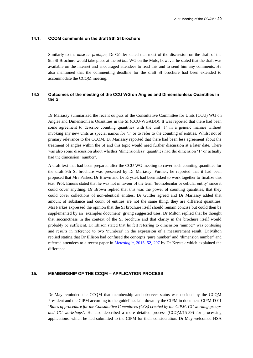#### **14.1. CCQM comments on the draft 9th SI brochure**

Similarly to the *mise en pratique*, Dr Güttler stated that most of the discussion on the draft of the 9th SI Brochure would take place at the *ad hoc* WG on the Mole, however he stated that the draft was available on the internet and encouraged attendees to read this and to send him any comments. He also mentioned that the commenting deadline for the draft SI brochure had been extended to accommodate the CCQM meeting.

# **14.2 Outcomes of the meeting of the CCU WG on Angles and Dimensionless Quantities in the SI**

Dr Mariassy summarized the recent outputs of the Consultative Committee for Units (CCU) WG on Angles and Dimensionless Quantities in the SI (CCU-WGADQ). It was reported that there had been some agreement to describe counting quantities with the unit '1' in a generic manner without invoking any new units as special names for '1' or to refer to the counting of entities. Whilst not of primary relevance to the CCQM, Dr Mariassy reported that there had been less agreement about the treatment of angles within the SI and this topic would need further discussion at a later date. There was also some discussion about whether 'dimensionless' quantities had the dimension '1' or actually had the dimension 'number'.

A draft text that had been prepared after the CCU WG meeting to cover such counting quantities for the draft 9th SI brochure was presented by Dr Mariassy. Further, he reported that it had been proposed that Mrs Parkes, Dr Brown and Dr Krystek had been asked to work together to finalize this text. Prof. Emons stated that he was not in favour of the term 'biomolecular or cellular entity' since it could cover anything. Dr Brown replied that this was the power of counting quantities, that they could cover collections of non-identical entities. Dr Güttler agreed and Dr Mariassy added that amount of substance and count of entities are not the same thing, they are different quantities. Mrs Parkes expressed the opinion that the SI brochure itself should remain concise but could then be supplemented by an 'examples document' giving suggested uses. Dr Milton replied that he thought that succinctness in the context of the SI brochure and that clarity in the brochure itself would probably be sufficient. Dr Ellison stated that he felt referring to dimension 'number' was confusing and results in reference to two 'numbers' in the expression of a measurement result. Dr Milton replied stating that Dr Ellison had confused the concepts 'pure number' and 'dimension number' and referred attendees to a recent paper in *[Metrologia](http://stacks.iop.org/0026-1394/52/297)*, 2015, **52**, 297 by Dr Krystek which explained the difference.

# **15. MEMBERSHIP OF THE CCQM – APPLICATION PROCESS**

Dr May reminded the CCQM that membership and observer status was decided by the CCQM President and the CIPM according to the guidelines laid down by the CIPM in document CIPM-D-01 '*Rules of procedure for the Consultative Committees (CCs) created by the CIPM, CC working groups and CC workshops*'. He also described a more detailed process (CCQM/15-39) for processing applications, which he had submitted to the CIPM for their consideration. Dr May welcomed HSA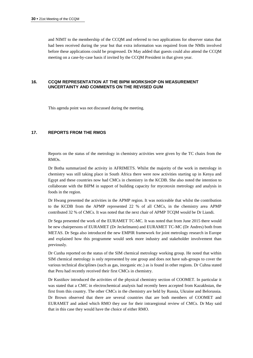and NIMT to the membership of the CCQM and referred to two applications for observer status that had been received during the year but that extra information was required from the NMIs involved before these applications could be progressed. Dr May added that guests could also attend the CCQM meeting on a case-by-case basis if invited by the CCQM President in that given year.

## **16. CCQM REPRESENTATION AT THE BIPM WORKSHOP ON MEASUREMENT UNCERTAINTY AND COMMENTS ON THE REVISED GUM**

This agenda point was not discussed during the meeting.

# **17. REPORTS FROM THE RMOS**

Reports on the status of the metrology in chemistry activities were given by the TC chairs from the RMOs.

Dr Botha summarized the activity in AFRIMETS. Whilst the majority of the work in metrology in chemistry was still taking place in South Africa there were now activities starting up in Kenya and Egypt and these countries now had CMCs in chemistry in the KCDB. She also noted the intention to collaborate with the BIPM in support of building capacity for mycotoxin metrology and analysis in foods in the region.

Dr Hwang presented the activities in the APMP region. It was noticeable that whilst the contribution to the KCDB from the APMP represented 22 % of all CMCs, in the chemistry area APMP contributed 32 % of CMCs. It was noted that the next chair of APMP TCQM would be Dr Liandi.

Dr Sega presented the work of the EURAMET TC-MC. It was noted that from June 2015 there would be new chairpersons of EURAMET (Dr Jeckelmann) and EURAMET TC-MC (Dr Andres) both from METAS. Dr Sega also introduced the new EMPIR framework for joint metrology research in Europe and explained how this programme would seek more industry and stakeholder involvement than previously.

Dr Cunha reported on the status of the SIM chemical metrology working group. He noted that within SIM chemical metrology is only represented by one group and does not have sub-groups to cover the various technical disciplines (such as gas, inorganic etc.) as is found in other regions. Dr Cuhna stated that Peru had recently received their first CMCs in chemistry.

Dr Kustikov introduced the activities of the physical chemistry section of COOMET. In particular it was stated that a CMC in electrochemical analysis had recently been accepted from Kazakhstan, the first from this country. The other CMCs in the chemistry are held by Russia, Ukraine and Belorussia. Dr Brown observed that there are several countries that are both members of COOMET and EURAMET and asked which RMO they use for their intraregional review of CMCs. Dr May said that in this case they would have the choice of either RMO.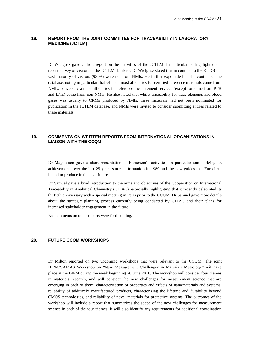# **18. REPORT FROM THE JOINT COMMITTEE FOR TRACEABILITY IN LABORATORY MEDICINE (JCTLM)**

Dr Wielgosz gave a short report on the activities of the JCTLM. In particular he highlighted the recent survey of visitors to the JCTLM database. Dr Wielgosz stated that in contrast to the KCDB the vast majority of visitors (93 %) were not from NMIs. He further expounded on the content of the database, noting in particular that whilst almost all entries for certified reference materials come from NMIs, conversely almost all entries for reference measurement services (except for some from PTB and LNE) come from non-NMIs. He also noted that whilst traceability for trace elements and blood gases was usually to CRMs produced by NMIs, these materials had not been nominated for publication in the JCTLM database, and NMIs were invited to consider submitting entries related to these materials.

# **19. COMMENTS ON WRITTEN REPORTS FROM INTERNATIONAL ORGANIZATIONS IN LIAISON WITH THE CCQM**

Dr Magnusson gave a short presentation of Eurachem's activities, in particular summarizing its achievements over the last 25 years since its formation in 1989 and the new guides that Eurachem intend to produce in the near future.

Dr Samuel gave a brief introduction to the aims and objectives of the Cooperation on International Traceability in Analytical Chemistry (CITAC), especially highlighting that it recently celebrated its thirtieth anniversary with a special meeting in Paris prior to the CCQM. Dr Samuel gave more details about the strategic planning process currently being conducted by CITAC and their plans for increased stakeholder engagement in the future.

No comments on other reports were forthcoming.

# **20. FUTURE CCQM WORKSHOPS**

Dr Milton reported on two upcoming workshops that were relevant to the CCQM. The joint BIPM/VAMAS Workshop on "New Measurement Challenges in Materials Metrology" will take place at the BIPM during the week beginning 20 June 2016. The workshop will consider four themes in materials research, and will consider the new challenges for measurement science that are emerging in each of them: characterization of properties and effects of nanomaterials and systems, reliability of additively manufactured products, characterizing the lifetime and durability beyond CMOS technologies, and reliability of novel materials for protective systems. The outcomes of the workshop will include a report that summarizes the scope of the new challenges for measurement science in each of the four themes. It will also identify any requirements for additional coordination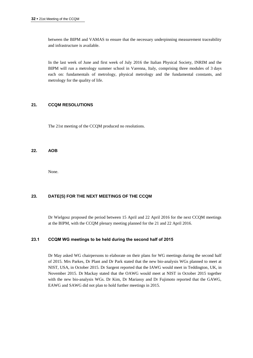between the BIPM and VAMAS to ensure that the necessary underpinning measurement traceability and infrastructure is available.

In the last week of June and first week of July 2016 the Italian Physical Society, INRIM and the BIPM will run a metrology summer school in Varenna, Italy, comprising three modules of 3 days each on: fundamentals of metrology, physical metrology and the fundamental constants, and metrology for the quality of life.

# **21. CCQM RESOLUTIONS**

The 21st meeting of the CCQM produced no resolutions.

#### **22. AOB**

None.

# **23. DATE(S) FOR THE NEXT MEETINGS OF THE CCQM**

Dr Wielgosz proposed the period between 15 April and 22 April 2016 for the next CCQM meetings at the BIPM, with the CCQM plenary meeting planned for the 21 and 22 April 2016.

# **23.1 CCQM WG meetings to be held during the second half of 2015**

Dr May asked WG chairpersons to elaborate on their plans for WG meetings during the second half of 2015. Mrs Parkes, Dr Plant and Dr Park stated that the new bio-analysis WGs planned to meet at NIST, USA, in October 2015. Dr Sargent reported that the IAWG would meet in Teddington, UK, in November 2015. Dr Mackay stated that the OAWG would meet at NIST in October 2015 together with the new bio-analysis WGs. Dr Kim, Dr Mariassy and Dr Fujimoto reported that the GAWG, EAWG and SAWG did not plan to hold further meetings in 2015.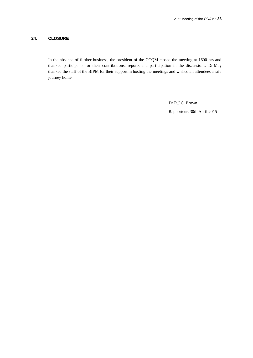## **24. CLOSURE**

In the absence of further business, the president of the CCQM closed the meeting at 1600 hrs and thanked participants for their contributions, reports and participation in the discussions. Dr May thanked the staff of the BIPM for their support in hosting the meetings and wished all attendees a safe journey home.

Dr R.J.C. Brown

Rapporteur, 30th April 2015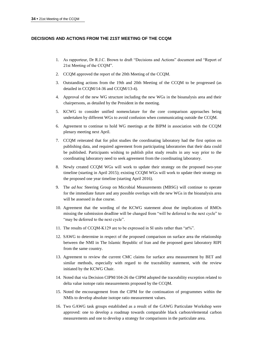# **DECISIONS AND ACTIONS FROM THE 21ST MEETING OF THE CCQM**

- 1. As rapporteur, Dr R.J.C. Brown to draft "Decisions and Actions" document and "Report of 21st Meeting of the CCQM".
- 2. CCQM approved the report of the 20th Meeting of the CCQM.
- 3. Outstanding actions from the 19th and 20th Meeting of the CCQM to be progressed (as detailed in CCQM/14-36 and CCQM/13-4).
- 4. Approval of the new WG structure including the new WGs in the bioanalysis area and their chairpersons, as detailed by the President in the meeting.
- 5. KCWG to consider unified nomenclature for the core comparison approaches being undertaken by different WGs to avoid confusion when communicating outside the CCQM.
- 6. Agreement to continue to hold WG meetings at the BIPM in association with the CCQM plenary meeting next April.
- 7. CCQM reiterated that for pilot studies the coordinating laboratory had the first option on publishing data, and required agreement from participating laboratories that their data could be published. Participants wishing to publish pilot study results in any way prior to the coordinating laboratory need to seek agreement from the coordinating laboratory.
- 8. Newly created CCQM WGs will work to update their strategy on the proposed two-year timeline (starting in April 2015); existing CCQM WGs will work to update their strategy on the proposed one year timeline (starting April 2016).
- 9. The *ad hoc* Steering Group on Microbial Measurements (MBSG) will continue to operate for the immediate future and any possible overlaps with the new WGs in the bioanalysis area will be assessed in due course.
- 10. Agreement that the wording of the KCWG statement about the implications of RMOs missing the submission deadline will be changed from "will be deferred to the next cycle" to "may be deferred to the next cycle".
- 11. The results of CCQM-K129 are to be expressed in SI units rather than "at%".
- 12. SAWG to determine in respect of the proposed comparison on surface area the relationship between the NMI in The Islamic Republic of Iran and the proposed guest laboratory RIPI from the same country.
- 13. Agreement to review the current CMC claims for surface area measurement by BET and similar methods, especially with regard to the traceability statement, with the review initiated by the KCWG Chair.
- 14. Noted that via Decision CIPM/104-26 the CIPM adopted the traceability exception related to delta value isotope ratio measurements proposed by the CCQM.
- 15. Noted the encouragement from the CIPM for the continuation of programmes within the NMIs to develop absolute isotope ratio measurement values.
- 16. Two GAWG task groups established as a result of the GAWG Particulate Workshop were approved: one to develop a roadmap towards comparable black carbon/elemental carbon measurements and one to develop a strategy for comparisons in the particulate area.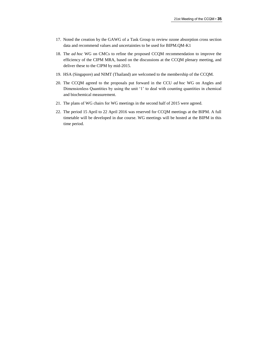- 17. Noted the creation by the GAWG of a Task Group to review ozone absorption cross section data and recommend values and uncertainties to be used for BIPM.QM-K1
- 18. The *ad hoc* WG on CMCs to refine the proposed CCQM recommendation to improve the efficiency of the CIPM MRA, based on the discussions at the CCQM plenary meeting, and deliver these to the CIPM by mid-2015.
- 19. HSA (Singapore) and NIMT (Thailand) are welcomed to the membership of the CCQM.
- 20. The CCQM agreed to the proposals put forward in the CCU *ad hoc* WG on Angles and Dimensionless Quantities by using the unit '1' to deal with counting quantities in chemical and biochemical measurement.
- 21. The plans of WG chairs for WG meetings in the second half of 2015 were agreed.
- 22. The period 15 April to 22 April 2016 was reserved for CCQM meetings at the BIPM. A full timetable will be developed in due course. WG meetings will be hosted at the BIPM in this time period.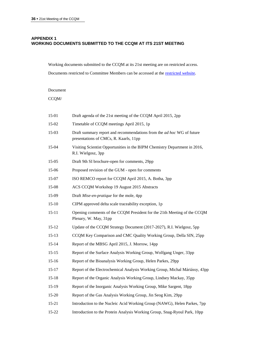# **APPENDIX 1 WORKING DOCUMENTS SUBMITTED TO THE CCQM AT ITS 21ST MEETING**

Working documents submitted to the CCQM at its 21st meeting are on restricted access.

Documents restricted to Committee Members can be accessed at the [restricted website.](https://www.bipm.org/en/committees/cc/ccqm/)

# Document

 $CCQM/$ 

| 15-01     | Draft agenda of the 21st meeting of the CCQM April 2015, 2pp                                                           |
|-----------|------------------------------------------------------------------------------------------------------------------------|
| 15-02     | Timetable of CCQM meetings April 2015, 1p                                                                              |
| 15-03     | Draft summary report and recommendations from the <i>ad hoc</i> WG of future<br>presentations of CMCs, R. Kaarls, 11pp |
| 15-04     | Visiting Scientist Opportunities in the BIPM Chemistry Department in 2016,<br>R.I. Wielgosz, 3pp                       |
| 15-05     | Draft 9th SI brochure-open for comments, 29pp                                                                          |
| 15-06     | Proposed revision of the GUM - open for comments                                                                       |
| 15-07     | ISO REMCO report for CCQM April 2015, A. Botha, 3pp                                                                    |
| 15-08     | ACS CCQM Workshop 19 August 2015 Abstracts                                                                             |
| 15-09     | Draft Mise-en-pratique for the mole, 4pp                                                                               |
| $15 - 10$ | CIPM approved delta scale traceability exception, 1p                                                                   |
| $15 - 11$ | Opening comments of the CCQM President for the 21th Meeting of the CCQM<br>Plenary, W. May, 31pp                       |
| $15 - 12$ | Update of the CCQM Strategy Document (2017-2027), R.I. Wielgosz, 5pp                                                   |
| $15 - 13$ | CCQM Key Comparison and CMC Quality Working Group, Della SIN, 25pp                                                     |
| $15 - 14$ | Report of the MBSG April 2015, J. Morrow, 14pp                                                                         |
| $15 - 15$ | Report of the Surface Analysis Working Group, Wolfgang Unger, 33pp                                                     |
| $15 - 16$ | Report of the Bioanalysis Working Group, Helen Parkes, 29pp                                                            |
| $15 - 17$ | Report of the Electrochemical Analysis Working Group, Michal Máriássy, 43pp                                            |
| $15 - 18$ | Report of the Organic Analysis Working Group, Lindsey Mackay, 35pp                                                     |
| $15-19$   | Report of the Inorganic Analysis Working Group, Mike Sargent, 18pp                                                     |
| $15 - 20$ | Report of the Gas Analysis Working Group, Jin Seog Kim, 29pp                                                           |
| $15 - 21$ | Introduction to the Nucleic Acid Working Group (NAWG), Helen Parkes, 7pp                                               |
| 15-22     | Introduction to the Protein Analysis Working Group, Snag-Ryoul Park, 10pp                                              |
|           |                                                                                                                        |